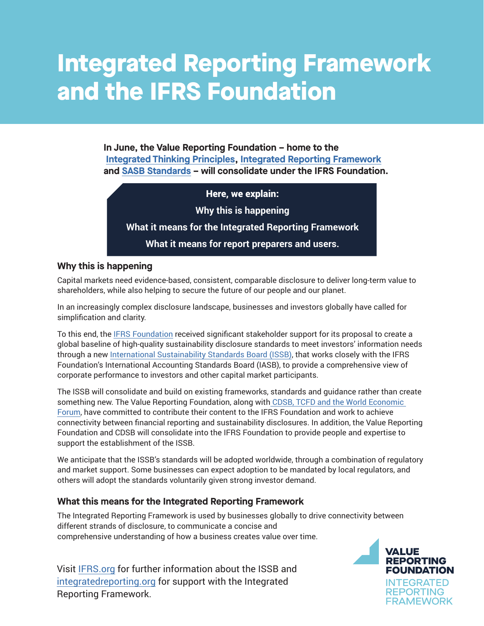# **Integrated Reporting Framework and the IFRS Foundation**

**In June, the Value Reporting Foundation – home to the [Integrated Thinking Principles](https://www.integratedreporting.org/integrated-thinking/), [Integrated Reporting Framework](https://www.integratedreporting.org/resource/international-ir-framework/) and [SASB Standards](https://www.sasb.org/standards/) – will consolidate under the IFRS Foundation.** 

Here, we explain:

**Why this is happening**

**What it means for the Integrated Reporting Framework**

**What it means for report preparers and users.** 

### **Why this is happening**

Capital markets need evidence-based, consistent, comparable disclosure to deliver long-term value to shareholders, while also helping to secure the future of our people and our planet.

In an increasingly complex disclosure landscape, businesses and investors globally have called for simplification and clarity.

To this end, the [IFRS Foundation](https://www.ifrs.org/about-us/who-we-are/) received significant stakeholder support for its proposal to create a global baseline of high-quality sustainability disclosure standards to meet investors' information needs through a new [International Sustainability Standards Board \(ISSB\)](https://www.ifrs.org/groups/international-sustainability-standards-board/), that works closely with the IFRS Foundation's International Accounting Standards Board (IASB), to provide a comprehensive view of corporate performance to investors and other capital market participants.

The ISSB will consolidate and build on existing frameworks, standards and guidance rather than create something new. The Value Reporting Foundation, along wit[h CDSB, TCFD and the World Economic](https://www.ifrs.org/groups/technical-readiness-working-group/#members)  [Forum,](https://www.ifrs.org/groups/technical-readiness-working-group/#members) have committed to contribute their content to the IFRS Foundation and work to achieve connectivity between financial reporting and sustainability disclosures. In addition, the Value Reporting Foundation and CDSB will consolidate into the IFRS Foundation to provide people and expertise to support the establishment of the ISSB.

We anticipate that the ISSB's standards will be adopted worldwide, through a combination of regulatory and market support. Some businesses can expect adoption to be mandated by local regulators, and others will adopt the standards voluntarily given strong investor demand.

## **What this means for the Integrated Reporting Framework**

The Integrated Reporting Framework is used by businesses globally to drive connectivity between different strands of disclosure, to communicate a concise and comprehensive understanding of how a business creates value over time.

Visit [IFRS.org](https://www.ifrs.org/groups/international-sustainability-standards-board/) for further information about the ISSB and [integratedreporting.org](https://www.integratedreporting.org/) for support with the Integrated Reporting Framework.